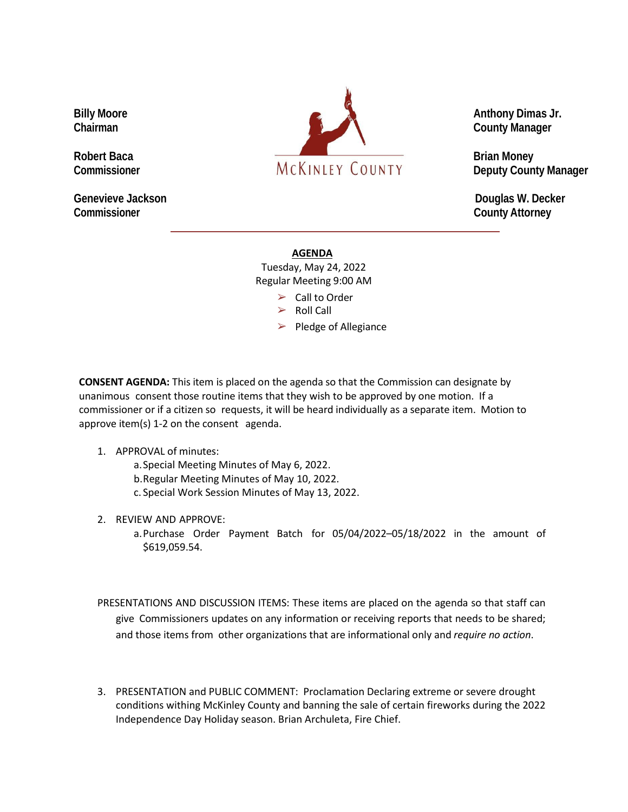**Commissioner County Attorney**



**Genevieve Jackson Douglas W. Decker**

## **AGENDA**

Tuesday, May 24, 2022 Regular Meeting 9:00 AM

- $\triangleright$  Call to Order
- $\triangleright$  Roll Call

 $\blacktriangleright$  Pledge of Allegiance

**CONSENT AGENDA:** This item is placed on the agenda so that the Commission can designate by unanimous consent those routine items that they wish to be approved by one motion. If a commissioner or if a citizen so requests, it will be heard individually as a separate item. Motion to approve item(s) 1-2 on the consent agenda.

## 1. APPROVAL of minutes:

a.Special Meeting Minutes of May 6, 2022.

b.Regular Meeting Minutes of May 10, 2022.

c. Special Work Session Minutes of May 13, 2022.

2. REVIEW AND APPROVE:

a.Purchase Order Payment Batch for 05/04/2022–05/18/2022 in the amount of \$619,059.54.

PRESENTATIONS AND DISCUSSION ITEMS: These items are placed on the agenda so that staff can give Commissioners updates on any information or receiving reports that needs to be shared; and those items from other organizations that are informational only and *require no action*.

3. PRESENTATION and PUBLIC COMMENT: Proclamation Declaring extreme or severe drought conditions withing McKinley County and banning the sale of certain fireworks during the 2022 Independence Day Holiday season. Brian Archuleta, Fire Chief.